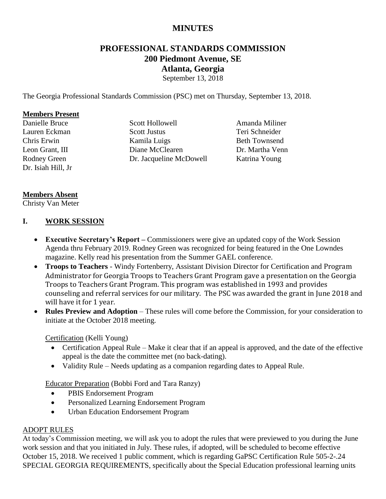# **MINUTES**

# **PROFESSIONAL STANDARDS COMMISSION 200 Piedmont Avenue, SE Atlanta, Georgia**

September 13, 2018

The Georgia Professional Standards Commission (PSC) met on Thursday, September 13, 2018.

#### **Members Present**

Danielle Bruce Lauren Eckman Chris Erwin Leon Grant, III Rodney Green Dr. Isiah Hill, Jr Scott Hollowell Scott Justus Kamila Luigs Diane McClearen Dr. Jacqueline McDowell

Amanda Miliner Teri Schneider Beth Townsend Dr. Martha Venn Katrina Young

#### **Members Absent**

Christy Van Meter

#### **I. WORK SESSION**

- **Executive Secretary's Report –** Commissioners were give an updated copy of the Work Session Agenda thru February 2019. Rodney Green was recognized for being featured in the One Lowndes magazine. Kelly read his presentation from the Summer GAEL conference.
- **Troops to Teachers** Windy Fortenberry, Assistant Division Director for Certification and Program Administrator for Georgia Troops to Teachers Grant Program gave a presentation on the Georgia Troops to Teachers Grant Program. This program was established in 1993 and provides counseling and referral services for our military. The PSC was awarded the grant in June 2018 and will have it for 1 year.
- **Rules Preview and Adoption** These rules will come before the Commission, for your consideration to initiate at the October 2018 meeting.

#### Certification (Kelli Young)

- Certification Appeal Rule Make it clear that if an appeal is approved, and the date of the effective appeal is the date the committee met (no back-dating).
- Validity Rule Needs updating as a companion regarding dates to Appeal Rule.

Educator Preparation (Bobbi Ford and Tara Ranzy)

- PBIS Endorsement Program
- Personalized Learning Endorsement Program
- Urban Education Endorsement Program

#### ADOPT RULES

At today's Commission meeting, we will ask you to adopt the rules that were previewed to you during the June work session and that you initiated in July. These rules, if adopted, will be scheduled to become effective October 15, 2018. We received 1 public comment, which is regarding GaPSC Certification Rule 505-2-.24 SPECIAL GEORGIA REQUIREMENTS, specifically about the Special Education professional learning units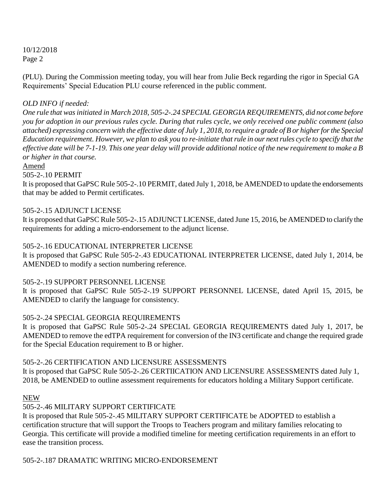(PLU). During the Commission meeting today, you will hear from Julie Beck regarding the rigor in Special GA Requirements' Special Education PLU course referenced in the public comment.

## *OLD INFO if needed:*

*One rule that was initiated in March 2018, 505-2-.24 SPECIAL GEORGIA REQUIREMENTS, did not come before you for adoption in our previous rules cycle. During that rules cycle, we only received one public comment (also attached) expressing concern with the effective date of July 1, 2018, to require a grade of B or higher for the Special Education requirement. However, we plan to ask you to re-initiate that rule in our next rules cycle to specify that the effective date will be 7-1-19. This one year delay will provide additional notice of the new requirement to make a B or higher in that course.* 

Amend

505-2-.10 PERMIT

It is proposed that GaPSC Rule 505-2-.10 PERMIT, dated July 1, 2018, be AMENDED to update the endorsements that may be added to Permit certificates.

#### 505-2-.15 ADJUNCT LICENSE

It is proposed that GaPSC Rule 505-2-.15 ADJUNCT LICENSE, dated June 15, 2016, be AMENDED to clarify the requirements for adding a micro-endorsement to the adjunct license.

#### 505-2-.16 EDUCATIONAL INTERPRETER LICENSE

It is proposed that GaPSC Rule 505-2-.43 EDUCATIONAL INTERPRETER LICENSE, dated July 1, 2014, be AMENDED to modify a section numbering reference.

#### 505-2-.19 SUPPORT PERSONNEL LICENSE

It is proposed that GaPSC Rule 505-2-.19 SUPPORT PERSONNEL LICENSE, dated April 15, 2015, be AMENDED to clarify the language for consistency.

#### 505-2-.24 SPECIAL GEORGIA REQUIREMENTS

It is proposed that GaPSC Rule 505-2-.24 SPECIAL GEORGIA REQUIREMENTS dated July 1, 2017, be AMENDED to remove the edTPA requirement for conversion of the IN3 certificate and change the required grade for the Special Education requirement to B or higher.

#### 505-2-.26 CERTIFICATION AND LICENSURE ASSESSMENTS

It is proposed that GaPSC Rule 505-2-.26 CERTIICATION AND LICENSURE ASSESSMENTS dated July 1, 2018, be AMENDED to outline assessment requirements for educators holding a Military Support certificate.

#### NEW

# 505-2-.46 MILITARY SUPPORT CERTIFICATE

It is proposed that Rule 505-2-.45 MILITARY SUPPORT CERTIFICATE be ADOPTED to establish a certification structure that will support the Troops to Teachers program and military families relocating to Georgia. This certificate will provide a modified timeline for meeting certification requirements in an effort to ease the transition process.

505-2-.187 DRAMATIC WRITING MICRO-ENDORSEMENT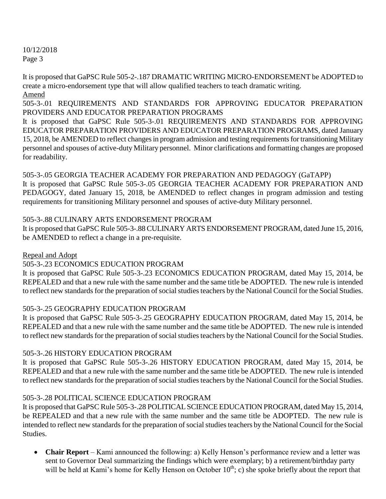It is proposed that GaPSC Rule 505-2-.187 DRAMATIC WRITING MICRO-ENDORSEMENT be ADOPTED to create a micro-endorsement type that will allow qualified teachers to teach dramatic writing. Amend

505-3-.01 REQUIREMENTS AND STANDARDS FOR APPROVING EDUCATOR PREPARATION PROVIDERS AND EDUCATOR PREPARATION PROGRAMS

It is proposed that GaPSC Rule 505-3-.01 REQUIREMENTS AND STANDARDS FOR APPROVING EDUCATOR PREPARATION PROVIDERS AND EDUCATOR PREPARATION PROGRAMS, dated January 15, 2018, be AMENDED to reflect changes in program admission and testing requirements for transitioning Military personnel and spouses of active-duty Military personnel. Minor clarifications and formatting changes are proposed for readability.

505-3-.05 GEORGIA TEACHER ACADEMY FOR PREPARATION AND PEDAGOGY (GaTAPP) It is proposed that GaPSC Rule 505-3-.05 GEORGIA TEACHER ACADEMY FOR PREPARATION AND PEDAGOGY, dated January 15, 2018, be AMENDED to reflect changes in program admission and testing requirements for transitioning Military personnel and spouses of active-duty Military personnel.

## 505-3-.88 CULINARY ARTS ENDORSEMENT PROGRAM

It is proposed that GaPSC Rule 505-3-.88 CULINARY ARTS ENDORSEMENT PROGRAM, dated June 15, 2016, be AMENDED to reflect a change in a pre-requisite.

# Repeal and Adopt

# 505-3-.23 ECONOMICS EDUCATION PROGRAM

It is proposed that GaPSC Rule 505-3-.23 ECONOMICS EDUCATION PROGRAM, dated May 15, 2014, be REPEALED and that a new rule with the same number and the same title be ADOPTED. The new rule is intended to reflect new standards for the preparation of social studies teachers by the National Council for the Social Studies.

# 505-3-.25 GEOGRAPHY EDUCATION PROGRAM

It is proposed that GaPSC Rule 505-3-.25 GEOGRAPHY EDUCATION PROGRAM, dated May 15, 2014, be REPEALED and that a new rule with the same number and the same title be ADOPTED. The new rule is intended to reflect new standards for the preparation of social studies teachers by the National Council for the Social Studies.

# 505-3-.26 HISTORY EDUCATION PROGRAM

It is proposed that GaPSC Rule 505-3-.26 HISTORY EDUCATION PROGRAM, dated May 15, 2014, be REPEALED and that a new rule with the same number and the same title be ADOPTED. The new rule is intended to reflect new standards for the preparation of social studies teachers by the National Council for the Social Studies.

# 505-3-.28 POLITICAL SCIENCE EDUCATION PROGRAM

It is proposed that GaPSC Rule 505-3-.28 POLITICAL SCIENCE EDUCATION PROGRAM, dated May 15, 2014, be REPEALED and that a new rule with the same number and the same title be ADOPTED. The new rule is intended to reflect new standards for the preparation of social studies teachers by the National Council for the Social Studies.

 **Chair Report** – Kami announced the following: a) Kelly Henson's performance review and a letter was sent to Governor Deal summarizing the findings which were exemplary; b) a retirement/birthday party will be held at Kami's home for Kelly Henson on October  $10^{th}$ ; c) she spoke briefly about the report that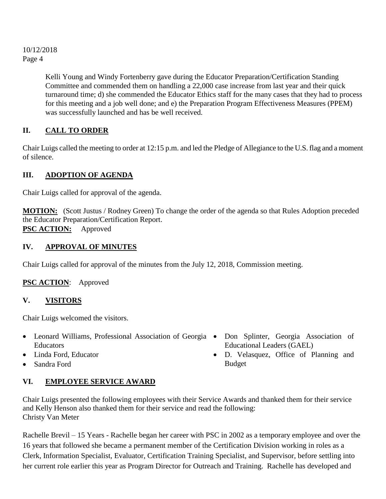> Kelli Young and Windy Fortenberry gave during the Educator Preparation/Certification Standing Committee and commended them on handling a 22,000 case increase from last year and their quick turnaround time; d) she commended the Educator Ethics staff for the many cases that they had to process for this meeting and a job well done; and e) the Preparation Program Effectiveness Measures (PPEM) was successfully launched and has be well received.

# **II. CALL TO ORDER**

Chair Luigs called the meeting to order at 12:15 p.m. and led the Pledge of Allegiance to the U.S. flag and a moment of silence.

# **III. ADOPTION OF AGENDA**

Chair Luigs called for approval of the agenda.

**MOTION:** (Scott Justus / Rodney Green) To change the order of the agenda so that Rules Adoption preceded the Educator Preparation/Certification Report. **PSC ACTION:** Approved

# **IV. APPROVAL OF MINUTES**

Chair Luigs called for approval of the minutes from the July 12, 2018, Commission meeting.

# **PSC ACTION**: Approved

# **V. VISITORS**

Chair Luigs welcomed the visitors.

- Leonard Williams, Professional Association of Georgia Don Splinter, Georgia Association of Educators
- Linda Ford, Educator
- Sandra Ford

# **VI. EMPLOYEE SERVICE AWARD**

Chair Luigs presented the following employees with their Service Awards and thanked them for their service and Kelly Henson also thanked them for their service and read the following: Christy Van Meter

Rachelle Brevil – 15 Years - Rachelle began her career with PSC in 2002 as a temporary employee and over the 16 years that followed she became a permanent member of the Certification Division working in roles as a Clerk, Information Specialist, Evaluator, Certification Training Specialist, and Supervisor, before settling into her current role earlier this year as Program Director for Outreach and Training. Rachelle has developed and

- Educational Leaders (GAEL)
- D. Velasquez, Office of Planning and Budget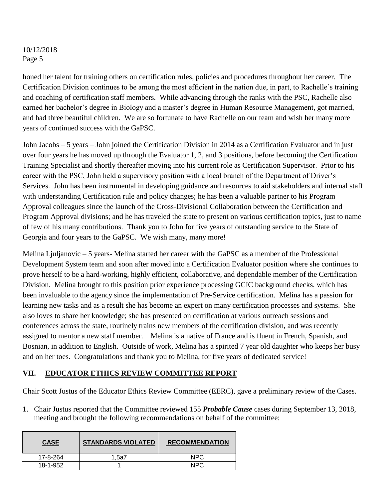honed her talent for training others on certification rules, policies and procedures throughout her career. The Certification Division continues to be among the most efficient in the nation due, in part, to Rachelle's training and coaching of certification staff members. While advancing through the ranks with the PSC, Rachelle also earned her bachelor's degree in Biology and a master's degree in Human Resource Management, got married, and had three beautiful children. We are so fortunate to have Rachelle on our team and wish her many more years of continued success with the GaPSC.

John Jacobs – 5 years – John joined the Certification Division in 2014 as a Certification Evaluator and in just over four years he has moved up through the Evaluator 1, 2, and 3 positions, before becoming the Certification Training Specialist and shortly thereafter moving into his current role as Certification Supervisor. Prior to his career with the PSC, John held a supervisory position with a local branch of the Department of Driver's Services. John has been instrumental in developing guidance and resources to aid stakeholders and internal staff with understanding Certification rule and policy changes; he has been a valuable partner to his Program Approval colleagues since the launch of the Cross-Divisional Collaboration between the Certification and Program Approval divisions; and he has traveled the state to present on various certification topics, just to name of few of his many contributions. Thank you to John for five years of outstanding service to the State of Georgia and four years to the GaPSC. We wish many, many more!

Melina Ljuljanovic – 5 years- Melina started her career with the GaPSC as a member of the Professional Development System team and soon after moved into a Certification Evaluator position where she continues to prove herself to be a hard-working, highly efficient, collaborative, and dependable member of the Certification Division. Melina brought to this position prior experience processing GCIC background checks, which has been invaluable to the agency since the implementation of Pre-Service certification. Melina has a passion for learning new tasks and as a result she has become an expert on many certification processes and systems. She also loves to share her knowledge; she has presented on certification at various outreach sessions and conferences across the state, routinely trains new members of the certification division, and was recently assigned to mentor a new staff member. Melina is a native of France and is fluent in French, Spanish, and Bosnian, in addition to English. Outside of work, Melina has a spirited 7 year old daughter who keeps her busy and on her toes. Congratulations and thank you to Melina, for five years of dedicated service!

#### **VII. EDUCATOR ETHICS REVIEW COMMITTEE REPORT**

Chair Scott Justus of the Educator Ethics Review Committee (EERC), gave a preliminary review of the Cases.

1. Chair Justus reported that the Committee reviewed 155 *Probable Cause* cases during September 13, 2018, meeting and brought the following recommendations on behalf of the committee:

| <b>CASE</b> | <b>STANDARDS VIOLATED</b> | <b>RECOMMENDATION</b> |
|-------------|---------------------------|-----------------------|
| 17-8-264    | 1.5a7                     | NPC                   |
| 18-1-952    |                           | <b>NPC</b>            |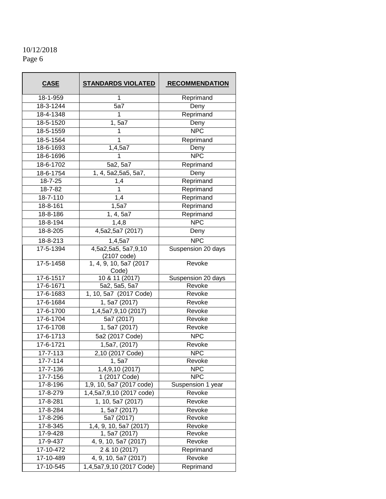| <b>CASE</b>                          | <b>STANDARDS VIOLATED</b> | <b>RECOMMENDATION</b>    |
|--------------------------------------|---------------------------|--------------------------|
| 18-1-959                             | 1                         | Reprimand                |
| $18-3-1244$                          | 5a7                       | Deny                     |
| 18-4-1348                            | 1                         | Reprimand                |
| 18-5-1520                            | 1,5a7                     | Deny                     |
| 18-5-1559                            | 1                         | <b>NPC</b>               |
| 18-5-1564                            | 1                         | Reprimand                |
| 18-6-1693                            | 1,4,5a7                   | Deny                     |
| 18-6-1696                            | 1                         | NPC                      |
| 18-6-1702                            | 5a2, 5a7                  | Reprimand                |
| 18-6-1754                            | 1, 4, 5a2,5a5, 5a7,       | Deny                     |
| 18-7-25                              | 1,4                       | Reprimand                |
| 18-7-82                              | 1                         | Reprimand                |
| 18-7-110                             | 1,4                       | Reprimand                |
| 18-8-161                             | 1,5a7                     | Reprimand                |
| 18-8-186                             | 1, 4, 5a7                 | Reprimand                |
| 18-8-194                             | 1,4,8                     | <b>NPC</b>               |
| 18-8-205                             | 4,5a2,5a7 (2017)          | Deny                     |
| 18-8-213                             | 1,4,5a7                   | <b>NPC</b>               |
| 17-5-1394                            | 4,5a2,5a5, 5a7,9,10       | Suspension 20 days       |
|                                      | (2107 code)               |                          |
| 17-5-1458                            | 1, 4, 9, 10, 5a7 (2017    | Revoke                   |
| Code)<br>10 & 11 (2017)<br>17-6-1517 |                           | Suspension 20 days       |
| $\overline{17} - 6 - 1671$           | 5a2, 5a5, 5a7             | Revoke                   |
| 17-6-1683                            | 1, 10, 5a7 (2017 Code)    | Revoke                   |
| 17-6-1684                            | 1, 5a7 (2017)             | Revoke                   |
| 17-6-1700                            | 1,4,5a7,9,10 (2017)       | Revoke                   |
| 17-6-1704                            | 5a7 (2017)                | Revoke                   |
| 17-6-1708                            | 1, 5a7 (2017)             | Revoke                   |
| 17-6-1713                            | 5a2 (2017 Code)           | $\overline{\text{NP}}$ C |
| 17-6-1721                            | 1,5a7, (2017)             | Revoke                   |
| $17 - 7 - 113$                       | 2,10 (2017 Code)          | <b>NPC</b>               |
| 17-7-114                             | 1, 5a7                    | Revoke                   |
| 17-7-136                             | 1,4,9,10 (2017)           | <b>NPC</b>               |
| 17-7-156                             | 1 (2017 Code)             | <b>NPC</b>               |
| 17-8-196                             | 1,9, 10, 5a7 (2017 code)  | Suspension 1 year        |
| 17-8-279                             | 1,4,5a7,9,10 (2017 code)  | Revoke                   |
| 17-8-281                             | 1, 10, 5a7 (2017)         | Revoke                   |
| 17-8-284                             | 1, 5a7 (2017)             | Revoke                   |
| 17-8-296                             | 5a7 (2017)                | Revoke                   |
| 17-8-345                             | 1,4, 9, 10, 5a7 (2017)    | Revoke                   |
| 17-9-428                             | 1, 5a7 (2017)             | Revoke                   |
| 17-9-437                             | 4, 9, 10, 5a7 (2017)      | Revoke                   |
| 17-10-472                            | 2 & 10 (2017)             | Reprimand                |
| 17-10-489                            | 4, 9, 10, 5a7 (2017)      | Revoke                   |
| 17-10-545                            | 1,4,5a7,9,10 (2017 Code)  | Reprimand                |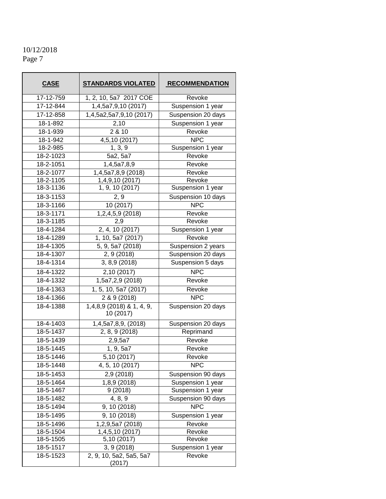| <b>CASE</b>     | <b>STANDARDS VIOLATED</b>              | <b>RECOMMENDATION</b> |
|-----------------|----------------------------------------|-----------------------|
| 17-12-759       | 1, 2, 10, 5a7 2017 COE                 | Revoke                |
| 17-12-844       | 1,4,5a7,9,10 (2017)                    | Suspension 1 year     |
| 17-12-858       | 1,4,5a2,5a7,9,10 (2017)                | Suspension 20 days    |
| 18-1-892        | 2,10                                   | Suspension 1 year     |
| 18-1-939        | 2 & 10                                 | Revoke                |
| 18-1-942        | 4,5,10 (2017)                          | <b>NPC</b>            |
| 18-2-985        | 1, 3, 9                                | Suspension 1 year     |
| 18-2-1023       | 5a2, 5a7                               | Revoke                |
| 18-2-1051       | 1,4,5a7,8,9                            | Revoke                |
| 18-2-1077       | 1,4,5a7,8,9 (2018)                     | Revoke                |
| 18-2-1105       | 1,4,9,10 (2017)                        | Revoke                |
| 18-3-1136       | 1, 9, 10 (2017)                        | Suspension 1 year     |
| 18-3-1153       | 2, 9                                   | Suspension 10 days    |
| $18 - 3 - 1166$ | 10 (2017)                              | <b>NPC</b>            |
| 18-3-1171       | 1,2,4,5,9 (2018)                       | Revoke                |
| 18-3-1185       | 2,9                                    | Revoke                |
| 18-4-1284       | 2, 4, 10 (2017)                        | Suspension 1 year     |
| 18-4-1289       | $\overline{1, 10, 5}$ a7 (2017)        | Revoke                |
| 18-4-1305       | $\overline{5, 9}$ , 5a7 (2018)         | Suspension 2 years    |
| 18-4-1307       | 2, 9(2018)                             | Suspension 20 days    |
| 18-4-1314       | 3, 8,9 (2018)                          | Suspension 5 days     |
| 18-4-1322       | 2,10 (2017)                            | <b>NPC</b>            |
| 18-4-1332       | 1,5a7,2,9 (2018)                       | Revoke                |
| 18-4-1363       | 1, 5, 10, 5a7 (2017)                   | Revoke                |
| 18-4-1366       | 2 & 9 (2018)                           | <b>NPC</b>            |
| 18-4-1388       | 1,4,8,9 (2018) & 1, 4, 9,<br>10 (2017) | Suspension 20 days    |
| 18-4-1403       | 1,4,5a7,8,9, (2018)                    | Suspension 20 days    |
| 18-5-1437       | 2, 8, 9 (2018)                         | Reprimand             |
| 18-5-1439       | 2,9,5a7                                | Revoke                |
| 18-5-1445       | $1, 9, 5a\overline{7}$                 | Revoke                |
| 18-5-1446       | 5,10(2017)                             | Revoke                |
| 18-5-1448       | 4, 5, 10 (2017)                        | <b>NPC</b>            |
| 18-5-1453       | 2,9 (2018)                             | Suspension 90 days    |
| 18-5-1464       | 1,8,9 (2018)                           | Suspension 1 year     |
| 18-5-1467       | 9(2018)                                | Suspension 1 year     |
| 18-5-1482       | 4, 8, 9                                | Suspension 90 days    |
| 18-5-1494       | 9, 10 (2018)                           | <b>NPC</b>            |
| 18-5-1495       | $\overline{9}$ , 10 (2018)             | Suspension 1 year     |
| 18-5-1496       | 1,2,9,5a7 (2018)<br>Revoke             |                       |
| 18-5-1504       | $\overline{1,4,5,10}$ (2017)           | Revoke                |
| 18-5-1505       | 5,10 (2017)                            | Revoke                |
| 18-5-1517       | 3, 9(2018)                             | Suspension 1 year     |
| 18-5-1523       | 2, 9, 10, 5a2, 5a5, 5a7<br>(2017)      | Revoke                |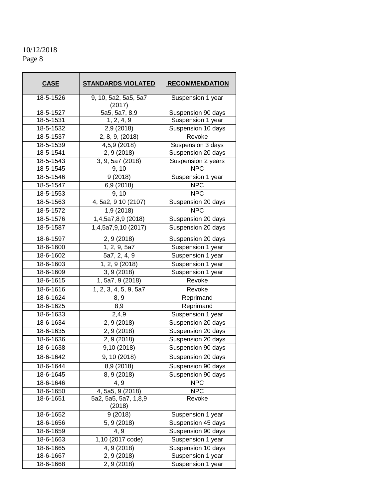# 10/12/2018

Page 8

| <b>CASE</b>                | <b>STANDARDS VIOLATED</b>      | <b>RECOMMENDATION</b> |
|----------------------------|--------------------------------|-----------------------|
| 18-5-1526                  | 9, 10, 5a2, 5a5, 5a7<br>(2017) | Suspension 1 year     |
| 18-5-1527                  | 5a5, 5a7, 8,9                  | Suspension 90 days    |
| 18-5-1531                  | 1, 2, 4, 9                     | Suspension 1 year     |
| 18-5-1532                  | 2,9 (2018)                     | Suspension 10 days    |
| 18-5-1537                  | 2, 8, 9, (2018)                | Revoke                |
| 18-5-1539                  | 4,5,9 (2018)                   | Suspension 3 days     |
| 18-5-1541                  | 2, 9 (2018)                    | Suspension 20 days    |
| 18-5-1543                  | 3, 9, 5a7 (2018)               | Suspension 2 years    |
| 18-5-1545                  | 9, 10                          | <b>NPC</b>            |
| 18-5-1546                  | 9(2018)                        | Suspension 1 year     |
| 18-5-1547                  | 6,9 (2018)                     | <b>NPC</b>            |
| 18-5-1553                  | 9, 10                          | <b>NPC</b>            |
| 18-5-1563                  | 4, 5a2, 9 10 (2107)            | Suspension 20 days    |
| 18-5-1572                  | 1,9 (2018)                     | <b>NPC</b>            |
| $18 - 5 - 1576$            | 1,4,5a7,8,9 (2018)             | Suspension 20 days    |
| 18-5-1587                  | 1,4,5a7,9,10 (2017)            | Suspension 20 days    |
| 18-6-1597                  | 2, 9 (2018)                    | Suspension 20 days    |
| $\overline{18} - 6 - 1600$ | 1, 2, 9, 5a7                   | Suspension 1 year     |
| 18-6-1602                  | 5a7, 2, 4, 9                   | Suspension 1 year     |
| 18-6-1603                  | 1, 2, 9 (2018)                 | Suspension 1 year     |
| $\overline{18} - 6 - 1609$ | 3, 9 (2018)                    | Suspension 1 year     |
| 18-6-1615                  | 1, 5a7, 9 (2018)               | Revoke                |
| 18-6-1616                  | 1, 2, 3, 4, 5, 9, 5a7          | Revoke                |
| 18-6-1624                  | 8, 9                           | Reprimand             |
| 18-6-1625                  | 8,9                            | Reprimand             |
| 18-6-1633                  | 2,4,9                          | Suspension 1 year     |
| 18-6-1634                  | 2, 9 (2018)                    | Suspension 20 days    |
| 18-6-1635                  | 2, 9 (2018)                    | Suspension 20 days    |
| 18-6-1636                  | 2, 9 (2018)                    | Suspension 20 days    |
| 18-6-1638                  | 9,10 (2018)                    | Suspension 90 days    |
| 18-6-1642                  | 9, 10(2018)                    | Suspension 20 days    |
| 18-6-1644                  | 8,9 (2018)                     | Suspension 90 days    |
| 18-6-1645                  | $\overline{8, 9}$ (2018)       | Suspension 90 days    |
| 18-6-1646                  | 4, 9                           | <b>NPC</b>            |
| 18-6-1650                  | 4, 5a5, 9 (2018)               | <b>NPC</b>            |
| 18-6-1651                  | 5a2, 5a5, 5a7, 1,8,9<br>(2018) | Revoke                |
| 18-6-1652                  | 9(2018)                        | Suspension 1 year     |
| 18-6-1656                  | 5, 9 (2018)                    | Suspension 45 days    |
| 18-6-1659                  | 4, 9                           | Suspension 90 days    |
| 18-6-1663                  | 1,10 (2017 code)               | Suspension 1 year     |
| 18-6-1665                  | 4, 9 (2018)                    | Suspension 10 days    |
| 18-6-1667                  | 2, 9 (2018)                    | Suspension 1 year     |
| 18-6-1668                  | 2, 9 (2018)                    | Suspension 1 year     |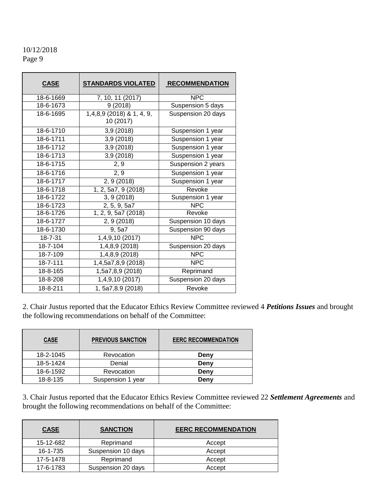| <b>CASE</b>     | <b>STANDARDS VIOLATED</b>              | <b>RECOMMENDATION</b> |
|-----------------|----------------------------------------|-----------------------|
| 18-6-1669       | 7, 10, 11 (2017)                       | <b>NPC</b>            |
| 18-6-1673       | 9(2018)                                | Suspension 5 days     |
| 18-6-1695       | 1,4,8,9 (2018) & 1, 4, 9,<br>10 (2017) | Suspension 20 days    |
| 18-6-1710       | 3,9(2018)                              | Suspension 1 year     |
| $18 - 6 - 1711$ | 3,9 (2018)                             | Suspension 1 year     |
| 18-6-1712       | 3,9(2018)                              | Suspension 1 year     |
| 18-6-1713       | 3,9 (2018)                             | Suspension 1 year     |
| 18-6-1715       | 2, 9                                   | Suspension 2 years    |
| 18-6-1716       | 2, 9                                   | Suspension 1 year     |
| 18-6-1717       | 2, 9 (2018)                            | Suspension 1 year     |
| 18-6-1718       | 1, 2, 5a7, 9 (2018)                    | Revoke                |
| 18-6-1722       | 3, 9(2018)                             | Suspension 1 year     |
| 18-6-1723       | 2, 5, 9, 5a7                           | <b>NPC</b>            |
| 18-6-1726       | $\overline{1, 2, 9}$ , 5a7 (2018)      | Revoke                |
| 18-6-1727       | 2, 9 (2018)                            | Suspension 10 days    |
| 18-6-1730       | 9, 5a7                                 | Suspension 90 days    |
| 18-7-31         | 1,4,9,10 (2017)                        | <b>NPC</b>            |
| 18-7-104        | 1,4,8,9 (2018)                         | Suspension 20 days    |
| 18-7-109        | 1,4,8,9 (2018)                         | <b>NPC</b>            |
| 18-7-111        | 1,4,5a7,8,9 (2018)                     | <b>NPC</b>            |
| 18-8-165        | 1,5a7,8,9 (2018)                       | Reprimand             |
| 18-8-208        | 1,4,9,10 (2017)                        | Suspension 20 days    |
| 18-8-211        | 1, 5a7, 8.9 (2018)                     | Revoke                |

2. Chair Justus reported that the Educator Ethics Review Committee reviewed 4 *Petitions Issues* and brought the following recommendations on behalf of the Committee:

| <b>CASE</b> | <b>PREVIOUS SANCTION</b> | <b>EERC RECOMMENDATION</b> |
|-------------|--------------------------|----------------------------|
| 18-2-1045   | Revocation               | Deny                       |
| 18-5-1424   | Denial                   | Deny                       |
| 18-6-1592   | Revocation<br>Deny       |                            |
| 18-8-135    | Suspension 1 year        | Deny                       |

3. Chair Justus reported that the Educator Ethics Review Committee reviewed 22 *Settlement Agreements* and brought the following recommendations on behalf of the Committee:

| <b>CASE</b> | <b>SANCTION</b>    | <b>EERC RECOMMENDATION</b> |
|-------------|--------------------|----------------------------|
| 15-12-682   | Reprimand          | Accept                     |
| 16-1-735    | Suspension 10 days | Accept                     |
| 17-5-1478   | Reprimand          | Accept                     |
| 17-6-1783   | Suspension 20 days | Accept                     |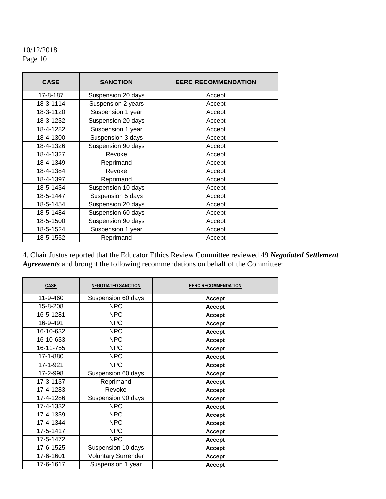| <b>CASE</b> | <b>SANCTION</b>    | <b>EERC RECOMMENDATION</b> |
|-------------|--------------------|----------------------------|
| 17-8-187    | Suspension 20 days | Accept                     |
| 18-3-1114   | Suspension 2 years | Accept                     |
| 18-3-1120   | Suspension 1 year  | Accept                     |
| 18-3-1232   | Suspension 20 days | Accept                     |
| 18-4-1282   | Suspension 1 year  | Accept                     |
| 18-4-1300   | Suspension 3 days  | Accept                     |
| 18-4-1326   | Suspension 90 days | Accept                     |
| 18-4-1327   | Revoke             | Accept                     |
| 18-4-1349   | Reprimand          | Accept                     |
| 18-4-1384   | Revoke             | Accept                     |
| 18-4-1397   | Reprimand          | Accept                     |
| 18-5-1434   | Suspension 10 days | Accept                     |
| 18-5-1447   | Suspension 5 days  | Accept                     |
| 18-5-1454   | Suspension 20 days | Accept                     |
| 18-5-1484   | Suspension 60 days | Accept                     |
| 18-5-1500   | Suspension 90 days | Accept                     |
| 18-5-1524   | Suspension 1 year  | Accept                     |
| 18-5-1552   | Reprimand          | Accept                     |

4. Chair Justus reported that the Educator Ethics Review Committee reviewed 49 *Negotiated Settlement Agreements* and brought the following recommendations on behalf of the Committee:

| <b>CASE</b> | <b>NEGOTIATED SANCTION</b> | <b>EERC RECOMMENDATION</b> |
|-------------|----------------------------|----------------------------|
| 11-9-460    | Suspension 60 days         | <b>Accept</b>              |
| 15-8-208    | <b>NPC</b>                 | Accept                     |
| 16-5-1281   | <b>NPC</b>                 | Accept                     |
| 16-9-491    | <b>NPC</b>                 | <b>Accept</b>              |
| 16-10-632   | <b>NPC</b>                 | <b>Accept</b>              |
| 16-10-633   | <b>NPC</b>                 | <b>Accept</b>              |
| 16-11-755   | <b>NPC</b>                 | <b>Accept</b>              |
| 17-1-880    | <b>NPC</b>                 | <b>Accept</b>              |
| 17-1-921    | <b>NPC</b>                 | <b>Accept</b>              |
| 17-2-998    | Suspension 60 days         | <b>Accept</b>              |
| 17-3-1137   | Reprimand                  | <b>Accept</b>              |
| 17-4-1283   | Revoke                     | <b>Accept</b>              |
| 17-4-1286   | Suspension 90 days         | <b>Accept</b>              |
| 17-4-1332   | <b>NPC</b>                 | <b>Accept</b>              |
| 17-4-1339   | <b>NPC</b>                 | <b>Accept</b>              |
| 17-4-1344   | <b>NPC</b>                 | Accept                     |
| 17-5-1417   | <b>NPC</b>                 | Accept                     |
| 17-5-1472   | <b>NPC</b>                 | Accept                     |
| 17-6-1525   | Suspension 10 days         | Accept                     |
| 17-6-1601   | Voluntary Surrender        | Accept                     |
| 17-6-1617   | Suspension 1 year          | <b>Accept</b>              |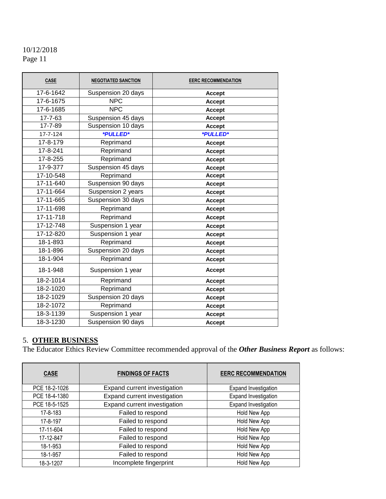| <b>CASE</b> | <b>NEGOTIATED SANCTION</b> | <b>EERC RECOMMENDATION</b> |
|-------------|----------------------------|----------------------------|
| 17-6-1642   | Suspension 20 days         | <b>Accept</b>              |
| 17-6-1675   | <b>NPC</b>                 | <b>Accept</b>              |
| 17-6-1685   | <b>NPC</b>                 | <b>Accept</b>              |
| 17-7-63     | Suspension 45 days         | <b>Accept</b>              |
| 17-7-89     | Suspension 10 days         | <b>Accept</b>              |
| 17-7-124    | *PULLED*                   | *PULLED*                   |
| 17-8-179    | Reprimand                  | <b>Accept</b>              |
| 17-8-241    | Reprimand                  | <b>Accept</b>              |
| 17-8-255    | Reprimand                  | <b>Accept</b>              |
| 17-9-377    | Suspension 45 days         | <b>Accept</b>              |
| 17-10-548   | Reprimand                  | <b>Accept</b>              |
| 17-11-640   | Suspension 90 days         | <b>Accept</b>              |
| 17-11-664   | Suspension 2 years         | <b>Accept</b>              |
| 17-11-665   | Suspension 30 days         | <b>Accept</b>              |
| 17-11-698   | Reprimand                  | <b>Accept</b>              |
| 17-11-718   | Reprimand                  | Accept                     |
| 17-12-748   | Suspension 1 year          | <b>Accept</b>              |
| 17-12-820   | Suspension 1 year          | <b>Accept</b>              |
| 18-1-893    | Reprimand                  | <b>Accept</b>              |
| 18-1-896    | Suspension 20 days         | <b>Accept</b>              |
| 18-1-904    | Reprimand                  | <b>Accept</b>              |
| 18-1-948    | Suspension 1 year          | <b>Accept</b>              |
| 18-2-1014   | Reprimand                  | <b>Accept</b>              |
| 18-2-1020   | Reprimand                  | <b>Accept</b>              |
| 18-2-1029   | Suspension 20 days         | <b>Accept</b>              |
| 18-2-1072   | Reprimand                  | <b>Accept</b>              |
| 18-3-1139   | Suspension 1 year          | <b>Accept</b>              |
| 18-3-1230   | Suspension 90 days         | <b>Accept</b>              |

#### 5. **OTHER BUSINESS**

The Educator Ethics Review Committee recommended approval of the *Other Business Report* as follows:

| <b>CASE</b>   | <b>FINDINGS OF FACTS</b>          | <b>EERC RECOMMENDATION</b>  |
|---------------|-----------------------------------|-----------------------------|
| PCE 18-2-1026 | Expand current investigation      | Expand Investigation        |
| PCE 18-4-1380 | Expand current investigation      | <b>Expand Investigation</b> |
| PCE 18-5-1525 | Expand current investigation      | <b>Expand Investigation</b> |
| 17-8-183      | Failed to respond                 | Hold New App                |
| 17-8-197      | Failed to respond                 | Hold New App                |
| 17-11-604     | Failed to respond<br>Hold New App |                             |
| 17-12-847     | Failed to respond                 | Hold New App                |
| 18-1-953      | Failed to respond                 | Hold New App                |
| 18-1-957      | Hold New App<br>Failed to respond |                             |
| 18-3-1207     | Incomplete fingerprint            | Hold New App                |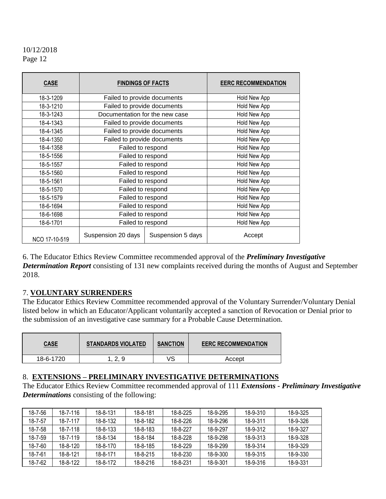| <b>CASE</b>   | <b>FINDINGS OF FACTS</b>       |                   | <b>EERC RECOMMENDATION</b> |
|---------------|--------------------------------|-------------------|----------------------------|
| 18-3-1209     | Failed to provide documents    |                   | Hold New App               |
| 18-3-1210     | Failed to provide documents    |                   | Hold New App               |
| 18-3-1243     | Documentation for the new case |                   | Hold New App               |
| 18-4-1343     | Failed to provide documents    |                   | Hold New App               |
| 18-4-1345     | Failed to provide documents    |                   | Hold New App               |
| 18-4-1350     | Failed to provide documents    |                   | Hold New App               |
| 18-4-1358     | Failed to respond              |                   | Hold New App               |
| 18-5-1556     | Failed to respond              |                   | Hold New App               |
| 18-5-1557     | Failed to respond              |                   | Hold New App               |
| 18-5-1560     | Failed to respond              |                   | Hold New App               |
| 18-5-1561     | Failed to respond              |                   | Hold New App               |
| 18-5-1570     | Failed to respond              |                   | Hold New App               |
| 18-5-1579     | Failed to respond              |                   | Hold New App               |
| 18-6-1694     | Failed to respond              |                   | Hold New App               |
| 18-6-1698     | Failed to respond              |                   | Hold New App               |
| 18-6-1701     | Failed to respond              |                   | Hold New App               |
| NCO 17-10-519 | Suspension 20 days             | Suspension 5 days | Accept                     |

6. The Educator Ethics Review Committee recommended approval of the *Preliminary Investigative Determination Report* consisting of 131 new complaints received during the months of August and September 2018.

#### 7. **VOLUNTARY SURRENDERS**

The Educator Ethics Review Committee recommended approval of the Voluntary Surrender/Voluntary Denial listed below in which an Educator/Applicant voluntarily accepted a sanction of Revocation or Denial prior to the submission of an investigative case summary for a Probable Cause Determination.

| <u>CASE</u> | <b>STANDARDS VIOLATED</b> | <b>SANCTION</b> | <b>EERC RECOMMENDATION</b> |
|-------------|---------------------------|-----------------|----------------------------|
| 18-6-1720   | 1 າ<br>- Q<br>ت بے        | ∨S              | Accept                     |

#### 8. **EXTENSIONS – PRELIMINARY INVESTIGATIVE DETERMINATIONS**

The Educator Ethics Review Committee recommended approval of 111 *Extensions - Preliminary Investigative Determinations* consisting of the following:

| 18-7-56 | $18 - 7 - 116$ | 18-8-131       | 18-8-181 | 18-8-225 | 18-9-295 | 18-9-310 | 18-9-325 |
|---------|----------------|----------------|----------|----------|----------|----------|----------|
| 18-7-57 | 18-7-117       | 18-8-132       | 18-8-182 | 18-8-226 | 18-9-296 | 18-9-311 | 18-9-326 |
| 18-7-58 | 18-7-118       | $18 - 8 - 133$ | 18-8-183 | 18-8-227 | 18-9-297 | 18-9-312 | 18-9-327 |
| 18-7-59 | 18-7-119       | 18-8-134       | 18-8-184 | 18-8-228 | 18-9-298 | 18-9-313 | 18-9-328 |
| 18-7-60 | $18 - 8 - 120$ | $18 - 8 - 170$ | 18-8-185 | 18-8-229 | 18-9-299 | 18-9-314 | 18-9-329 |
| 18-7-61 | 18-8-121       | 18-8-171       | 18-8-215 | 18-8-230 | 18-9-300 | 18-9-315 | 18-9-330 |
| 18-7-62 | 18-8-122       | 18-8-172       | 18-8-216 | 18-8-231 | 18-9-301 | 18-9-316 | 18-9-331 |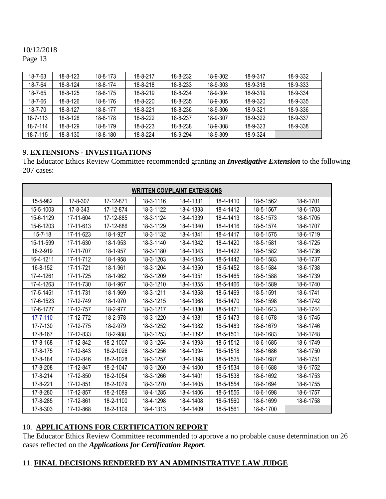# 10/12/2018

Page 13

| 18-7-63        | $18 - 8 - 123$ | 18-8-173       | 18-8-217       | 18-8-232 | 18-9-302 | 18-9-317 | 18-9-332 |
|----------------|----------------|----------------|----------------|----------|----------|----------|----------|
| 18-7-64        | 18-8-124       | 18-8-174       | 18-8-218       | 18-8-233 | 18-9-303 | 18-9-318 | 18-9-333 |
| 18-7-65        | 18-8-125       | 18-8-175       | 18-8-219       | 18-8-234 | 18-9-304 | 18-9-319 | 18-9-334 |
| 18-7-66        | $18 - 8 - 126$ | 18-8-176       | 18-8-220       | 18-8-235 | 18-9-305 | 18-9-320 | 18-9-335 |
| 18-7-70        | 18-8-127       | 18-8-177       | 18-8-221       | 18-8-236 | 18-9-306 | 18-9-321 | 18-9-336 |
| $18 - 7 - 113$ | $18 - 8 - 128$ | 18-8-178       | 18-8-222       | 18-8-237 | 18-9-307 | 18-9-322 | 18-9-337 |
| 18-7-114       | $18 - 8 - 129$ | 18-8-179       | $18 - 8 - 223$ | 18-8-238 | 18-9-308 | 18-9-323 | 18-9-338 |
| 18-7-115       | 18-8-130       | $18 - 8 - 180$ | 18-8-224       | 18-9-294 | 18-9-309 | 18-9-324 |          |

# 9. **EXTENSIONS - INVESTIGATIONS**

The Educator Ethics Review Committee recommended granting an *Investigative Extension* to the following 207 cases:

| <b>WRITTEN COMPLAINT EXTENSIONS</b> |           |           |           |           |           |           |           |
|-------------------------------------|-----------|-----------|-----------|-----------|-----------|-----------|-----------|
| 15-5-982                            | 17-8-307  | 17-12-871 | 18-3-1116 | 18-4-1331 | 18-4-1410 | 18-5-1562 | 18-6-1701 |
| 15-5-1003                           | 17-8-343  | 17-12-874 | 18-3-1122 | 18-4-1333 | 18-4-1412 | 18-5-1567 | 18-6-1703 |
| 15-6-1129                           | 17-11-604 | 17-12-885 | 18-3-1124 | 18-4-1339 | 18-4-1413 | 18-5-1573 | 18-6-1705 |
| 15-6-1203                           | 17-11-613 | 17-12-886 | 18-3-1129 | 18-4-1340 | 18-4-1416 | 18-5-1574 | 18-6-1707 |
| $15 - 7 - 18$                       | 17-11-623 | 18-1-927  | 18-3-1132 | 18-4-1341 | 18-4-1417 | 18-5-1575 | 18-6-1719 |
| 15-11-599                           | 17-11-630 | 18-1-953  | 18-3-1140 | 18-4-1342 | 18-4-1420 | 18-5-1581 | 18-6-1725 |
| 16-2-919                            | 17-11-707 | 18-1-957  | 18-3-1180 | 18-4-1343 | 18-4-1422 | 18-5-1582 | 18-6-1736 |
| 16-4-1211                           | 17-11-712 | 18-1-958  | 18-3-1203 | 18-4-1345 | 18-5-1442 | 18-5-1583 | 18-6-1737 |
| 16-8-152                            | 17-11-721 | 18-1-961  | 18-3-1204 | 18-4-1350 | 18-5-1452 | 18-5-1584 | 18-6-1738 |
| 17-4-1261                           | 17-11-725 | 18-1-962  | 18-3-1209 | 18-4-1351 | 18-5-1465 | 18-5-1588 | 18-6-1739 |
| 17-4-1263                           | 17-11-730 | 18-1-967  | 18-3-1210 | 18-4-1355 | 18-5-1466 | 18-5-1589 | 18-6-1740 |
| 17-5-1451                           | 17-11-731 | 18-1-969  | 18-3-1211 | 18-4-1358 | 18-5-1469 | 18-5-1591 | 18-6-1741 |
| 17-6-1523                           | 17-12-749 | 18-1-970  | 18-3-1215 | 18-4-1368 | 18-5-1470 | 18-6-1598 | 18-6-1742 |
| 17-6-1727                           | 17-12-757 | 18-2-977  | 18-3-1217 | 18-4-1380 | 18-5-1471 | 18-6-1643 | 18-6-1744 |
| 17-7-110                            | 17-12-772 | 18-2-978  | 18-3-1220 | 18-4-1381 | 18-5-1473 | 18-6-1678 | 18-6-1745 |
| 17-7-130                            | 17-12-775 | 18-2-979  | 18-3-1252 | 18-4-1382 | 18-5-1483 | 18-6-1679 | 18-6-1746 |
| 17-8-167                            | 17-12-833 | 18-2-988  | 18-3-1253 | 18-4-1392 | 18-5-1501 | 18-6-1683 | 18-6-1748 |
| 17-8-168                            | 17-12-842 | 18-2-1007 | 18-3-1254 | 18-4-1393 | 18-5-1512 | 18-6-1685 | 18-6-1749 |
| 17-8-175                            | 17-12-843 | 18-2-1026 | 18-3-1256 | 18-4-1394 | 18-5-1518 | 18-6-1686 | 18-6-1750 |
| 17-8-184                            | 17-12-846 | 18-2-1028 | 18-3-1257 | 18-4-1398 | 18-5-1525 | 18-6-1687 | 18-6-1751 |
| 17-8-208                            | 17-12-847 | 18-2-1047 | 18-3-1260 | 18-4-1400 | 18-5-1534 | 18-6-1688 | 18-6-1752 |
| 17-8-214                            | 17-12-850 | 18-2-1054 | 18-3-1266 | 18-4-1401 | 18-5-1538 | 18-6-1692 | 18-6-1753 |
| 17-8-221                            | 17-12-851 | 18-2-1079 | 18-3-1270 | 18-4-1405 | 18-5-1554 | 18-6-1694 | 18-6-1755 |
| 17-8-280                            | 17-12-857 | 18-2-1089 | 18-4-1285 | 18-4-1406 | 18-5-1556 | 18-6-1698 | 18-6-1757 |
| 17-8-285                            | 17-12-861 | 18-2-1100 | 18-4-1298 | 18-4-1408 | 18-5-1560 | 18-6-1699 | 18-6-1758 |
| 17-8-303                            | 17-12-868 | 18-2-1109 | 18-4-1313 | 18-4-1409 | 18-5-1561 | 18-6-1700 |           |

# 10. **APPLICATIONS FOR CERTIFICATION REPORT**

The Educator Ethics Review Committee recommended to approve a no probable cause determination on 26 cases reflected on the *Applications for Certification Report*.

# 11. **FINAL DECISIONS RENDERED BY AN ADMINISTRATIVE LAW JUDGE**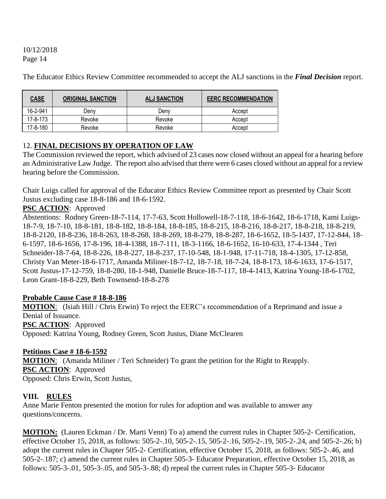The Educator Ethics Review Committee recommended to accept the ALJ sanctions in the *Final Decision* report.

| <b>CASE</b> | <b>ORIGINAL SANCTION</b> | <b>ALJ SANCTION</b> | <b>EERC RECOMMENDATION</b> |
|-------------|--------------------------|---------------------|----------------------------|
| 16-2-941    | Denv                     | Denv                | Accept                     |
| 17-8-173    | Revoke                   | Revoke              | Accept                     |
| 17-8-180    | Revoke                   | Revoke              | Accept                     |

# 12. **FINAL DECISIONS BY OPERATION OF LAW**

The Commission reviewed the report, which advised of 23 cases now closed without an appeal for a hearing before an Administrative Law Judge. The report also advised that there were 6 cases closed without an appeal for a review hearing before the Commission.

Chair Luigs called for approval of the Educator Ethics Review Committee report as presented by Chair Scott Justus excluding case 18-8-186 and 18-6-1592.

#### **PSC ACTION**: Approved

Abstentions: Rodney Green-18-7-114, 17-7-63, Scott Hollowell-18-7-118, 18-6-1642, 18-6-1718, Kami Luigs-18-7-9, 18-7-10, 18-8-181, 18-8-182, 18-8-184, 18-8-185, 18-8-215, 18-8-216, 18-8-217, 18-8-218, 18-8-219, 18-8-2120, 18-8-236, 18-8-263, 18-8-268, 18-8-269, 18-8-279, 18-8-287, 18-6-1652, 18-5-1437, 17-12-844, 18- 6-1597, 18-6-1656, 17-8-196, 18-4-1388, 18-7-111, 18-3-1166, 18-6-1652, 16-10-633, 17-4-1344 , Teri Schneider-18-7-64, 18-8-226, 18-8-227, 18-8-237, 17-10-548, 18-1-948, 17-11-718, 18-4-1305, 17-12-858, Christy Van Meter-18-6-1717, Amanda Miliner-18-7-12, 18-7-18, 18-7-24, 18-8-173, 18-6-1633, 17-6-1517, Scott Justus-17-12-759, 18-8-280, 18-1-948, Danielle Bruce-18-7-117, 18-4-1413, Katrina Young-18-6-1702, Leon Grant-18-8-229, Beth Townsend-18-8-278

#### **Probable Cause Case # 18-8-186**

**MOTION**: (Isiah Hill / Chris Erwin) To reject the EERC's recommendation of a Reprimand and issue a Denial of Issuance. **PSC ACTION**: Approved Opposed: Katrina Young, Rodney Green, Scott Justus, Diane McClearen

#### **Petitions Case # 18-6-1592**

**MOTION**: (Amanda Miliner / Teri Schneider) To grant the petition for the Right to Reapply. **PSC ACTION**: Approved Opposed: Chris Erwin, Scott Justus,

#### **VIII. RULES**

Anne Marie Fenton presented the motion for rules for adoption and was available to answer any questions/concerns.

**MOTION:** (Lauren Eckman / Dr. Marti Venn) To a) amend the current rules in Chapter 505-2- Certification, effective October 15, 2018, as follows: 505-2-.10, 505-2-.15, 505-2-.16, 505-2-.19, 505-2-.24, and 505-2-.26; b) adopt the current rules in Chapter 505-2- Certification, effective October 15, 2018, as follows: 505-2-.46, and 505-2-.187; c) amend the current rules in Chapter 505-3- Educator Preparation, effective October 15, 2018, as follows: 505-3-.01, 505-3-.05, and 505-3-.88; d) repeal the current rules in Chapter 505-3- Educator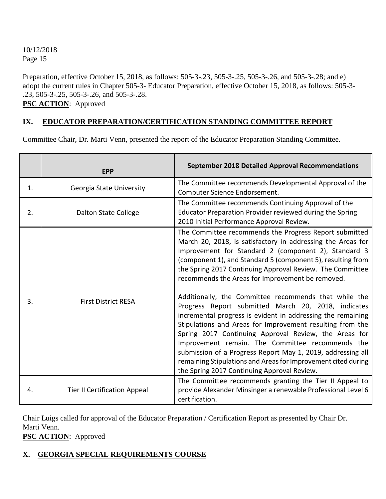Preparation, effective October 15, 2018, as follows: 505-3-.23, 505-3-.25, 505-3-.26, and 505-3-.28; and e) adopt the current rules in Chapter 505-3- Educator Preparation, effective October 15, 2018, as follows: 505-3- .23, 505-3-.25, 505-3-.26, and 505-3-.28.

**PSC ACTION**: Approved

# **IX. EDUCATOR PREPARATION/CERTIFICATION STANDING COMMITTEE REPORT**

Committee Chair, Dr. Marti Venn, presented the report of the Educator Preparation Standing Committee.

|    | <b>EPP</b>                          | <b>September 2018 Detailed Approval Recommendations</b>                                                                                                                                                                                                                                                                                                                                                                                                                                                                                                                                                                                                                                                                                                                                                                                                                                               |
|----|-------------------------------------|-------------------------------------------------------------------------------------------------------------------------------------------------------------------------------------------------------------------------------------------------------------------------------------------------------------------------------------------------------------------------------------------------------------------------------------------------------------------------------------------------------------------------------------------------------------------------------------------------------------------------------------------------------------------------------------------------------------------------------------------------------------------------------------------------------------------------------------------------------------------------------------------------------|
| 1. | Georgia State University            | The Committee recommends Developmental Approval of the<br>Computer Science Endorsement.                                                                                                                                                                                                                                                                                                                                                                                                                                                                                                                                                                                                                                                                                                                                                                                                               |
| 2. | <b>Dalton State College</b>         | The Committee recommends Continuing Approval of the<br>Educator Preparation Provider reviewed during the Spring<br>2010 Initial Performance Approval Review.                                                                                                                                                                                                                                                                                                                                                                                                                                                                                                                                                                                                                                                                                                                                          |
| 3. | <b>First District RESA</b>          | The Committee recommends the Progress Report submitted<br>March 20, 2018, is satisfactory in addressing the Areas for<br>Improvement for Standard 2 (component 2), Standard 3<br>(component 1), and Standard 5 (component 5), resulting from<br>the Spring 2017 Continuing Approval Review. The Committee<br>recommends the Areas for Improvement be removed.<br>Additionally, the Committee recommends that while the<br>Progress Report submitted March 20, 2018, indicates<br>incremental progress is evident in addressing the remaining<br>Stipulations and Areas for Improvement resulting from the<br>Spring 2017 Continuing Approval Review, the Areas for<br>Improvement remain. The Committee recommends the<br>submission of a Progress Report May 1, 2019, addressing all<br>remaining Stipulations and Areas for Improvement cited during<br>the Spring 2017 Continuing Approval Review. |
| 4. | <b>Tier II Certification Appeal</b> | The Committee recommends granting the Tier II Appeal to<br>provide Alexander Minsinger a renewable Professional Level 6<br>certification.                                                                                                                                                                                                                                                                                                                                                                                                                                                                                                                                                                                                                                                                                                                                                             |

Chair Luigs called for approval of the Educator Preparation / Certification Report as presented by Chair Dr. Marti Venn.

**PSC ACTION**: Approved

# **X. GEORGIA SPECIAL REQUIREMENTS COURSE**